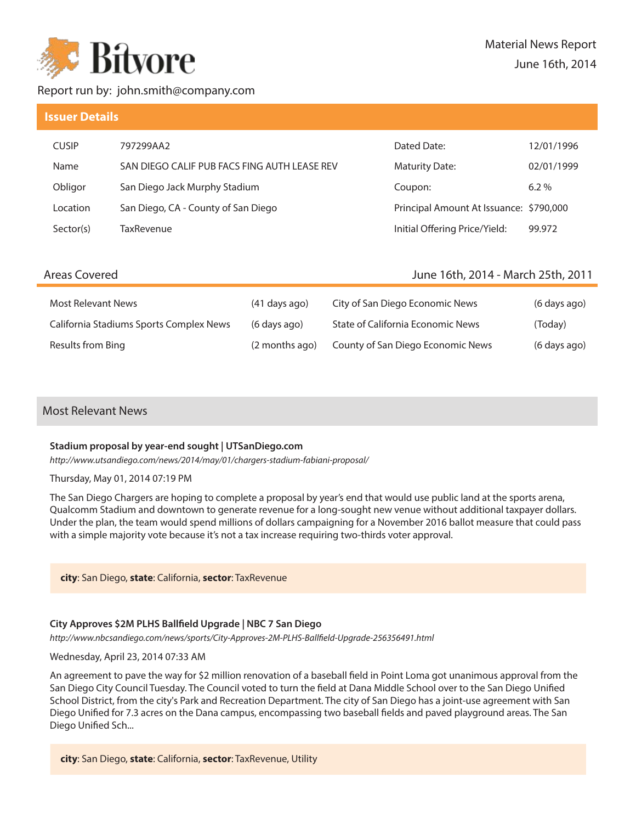

# Report run by: john.smith@company.com

# **Issuer Details**

| <b>CUSIP</b> | 797299AA2                                    | Dated Date:                             | 12/01/1996 |
|--------------|----------------------------------------------|-----------------------------------------|------------|
| Name         | SAN DIEGO CALIF PUB FACS FING AUTH LEASE REV | <b>Maturity Date:</b>                   | 02/01/1999 |
| Obligor      | San Diego Jack Murphy Stadium                | Coupon:                                 | $6.2\%$    |
| Location     | San Diego, CA - County of San Diego          | Principal Amount At Issuance: \$790,000 |            |
| Sector(s)    | TaxRevenue                                   | Initial Offering Price/Yield:           | 99.972     |

# Areas Covered

# June 16th, 2014 - March 25th, 2011

| Most Relevant News                      | $(41$ days ago) | City of San Diego Economic News   | (6 days ago) |
|-----------------------------------------|-----------------|-----------------------------------|--------------|
| California Stadiums Sports Complex News | (6 days ago)    | State of California Economic News | (Today)      |
| Results from Bing                       | (2 months ago)  | County of San Diego Economic News | (6 days ago) |

# Most Relevant News

## **Stadium proposal by year-end sought | UTSanDiego.com**

http://www.utsandiego.com/news/2014/may/01/chargers-stadium-fabiani-proposal/

Thursday, May 01, 2014 07:19 PM

The San Diego Chargers are hoping to complete a proposal by year's end that would use public land at the sports arena, Qualcomm Stadium and downtown to generate revenue for a long-sought new venue without additional taxpayer dollars. Under the plan, the team would spend millions of dollars campaigning for a November 2016 ballot measure that could pass with a simple majority vote because it's not a tax increase requiring two-thirds voter approval.

**city**: San Diego, **state**: California, **sector**: TaxRevenue

## **City Approves \$2M PLHS Ball!eld Upgrade | NBC 7 San Diego**

http://www.nbcsandiego.com/news/sports/City-Approves-2M-PLHS-Ballfield-Upgrade-256356491.html

### Wednesday, April 23, 2014 07:33 AM

An agreement to pave the way for \$2 million renovation of a baseball field in Point Loma got unanimous approval from the San Diego City Council Tuesday. The Council voted to turn the field at Dana Middle School over to the San Diego Unified School District, from the city's Park and Recreation Department. The city of San Diego has a joint-use agreement with San Diego Unified for 7.3 acres on the Dana campus, encompassing two baseball fields and paved playground areas. The San Diego Unified Sch...

**city**: San Diego, **state**: California, **sector**: TaxRevenue, Utility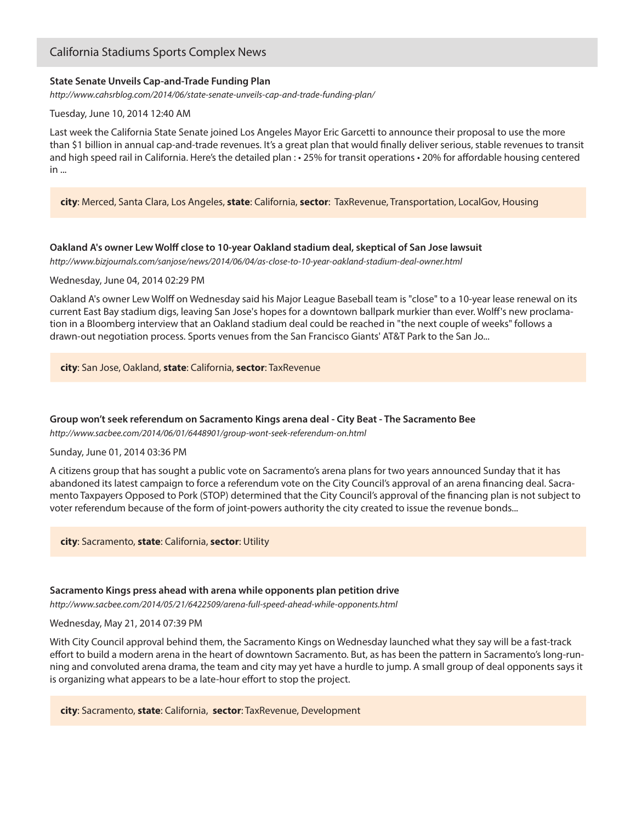# California Stadiums Sports Complex News

## **State Senate Unveils Cap-and-Trade Funding Plan**

http://www.cahsrblog.com/2014/06/state-senate-unveils-cap-and-trade-funding-plan/

Tuesday, June 10, 2014 12:40 AM

Last week the California State Senate joined Los Angeles Mayor Eric Garcetti to announce their proposal to use the more than \$1 billion in annual cap-and-trade revenues. It's a great plan that would finally deliver serious, stable revenues to transit and high speed rail in California. Here's the detailed plan : • 25% for transit operations • 20% for affordable housing centered in ...

**city**: Merced, Santa Clara, Los Angeles, **state**: California, **sector**: TaxRevenue, Transportation, LocalGov, Housing

### **Oakland A's owner Lew Wol! close to 10-year Oakland stadium deal, skeptical of San Jose lawsuit**

http://www.bizjournals.com/sanjose/news/2014/06/04/as-close-to-10-year-oakland-stadium-deal-owner.html

#### Wednesday, June 04, 2014 02:29 PM

Oakland A's owner Lew Wolff on Wednesday said his Major League Baseball team is "close" to a 10-year lease renewal on its current East Bay stadium digs, leaving San Jose's hopes for a downtown ballpark murkier than ever. Wolff's new proclamation in a Bloomberg interview that an Oakland stadium deal could be reached in "the next couple of weeks" follows a drawn-out negotiation process. Sports venues from the San Francisco Giants' AT&T Park to the San Jo...

**city**: San Jose, Oakland, **state**: California, **sector**: TaxRevenue

## **Group won't seek referendum on Sacramento Kings arena deal - City Beat - The Sacramento Bee**

http://www.sacbee.com/2014/06/01/6448901/group-wont-seek-referendum-on.html

#### Sunday, June 01, 2014 03:36 PM

A citizens group that has sought a public vote on Sacramento's arena plans for two years announced Sunday that it has abandoned its latest campaign to force a referendum vote on the City Council's approval of an arena financing deal. Sacramento Taxpayers Opposed to Pork (STOP) determined that the City Council's approval of the financing plan is not subject to voter referendum because of the form of joint-powers authority the city created to issue the revenue bonds...

**city**: Sacramento, **state**: California, **sector**: Utility

#### **Sacramento Kings press ahead with arena while opponents plan petition drive**

http://www.sacbee.com/2014/05/21/6422509/arena-full-speed-ahead-while-opponents.html

### Wednesday, May 21, 2014 07:39 PM

With City Council approval behind them, the Sacramento Kings on Wednesday launched what they say will be a fast-track effort to build a modern arena in the heart of downtown Sacramento. But, as has been the pattern in Sacramento's long-running and convoluted arena drama, the team and city may yet have a hurdle to jump. A small group of deal opponents says it is organizing what appears to be a late-hour effort to stop the project.

**city**: Sacramento, **state**: California, **sector**: TaxRevenue, Development